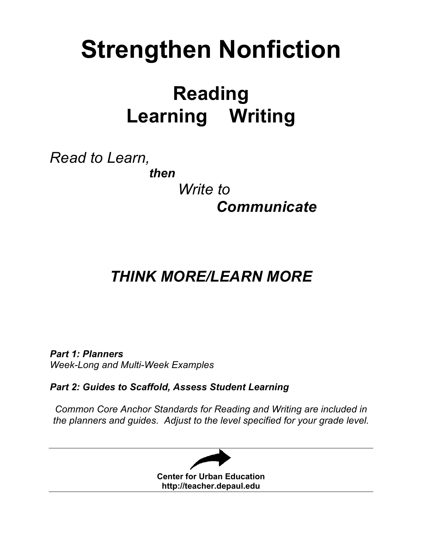# **Strengthen Nonfiction**

# **Reading Learning Writing**

*Read to Learn,* 

*then*

 *Write to Communicate*

# *THINK MORE/LEARN MORE*

*Part 1: Planners Week-Long and Multi-Week Examples*

*Part 2: Guides to Scaffold, Assess Student Learning*

*Common Core Anchor Standards for Reading and Writing are included in the planners and guides. Adjust to the level specified for your grade level.*

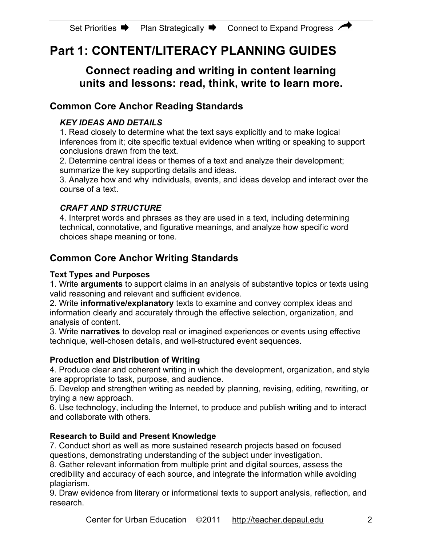# **Part 1: CONTENT/LITERACY PLANNING GUIDES**

# **Connect reading and writing in content learning units and lessons: read, think, write to learn more.**

# **Common Core Anchor Reading Standards**

### *KEY IDEAS AND DETAILS*

1. Read closely to determine what the text says explicitly and to make logical inferences from it; cite specific textual evidence when writing or speaking to support conclusions drawn from the text.

2. Determine central ideas or themes of a text and analyze their development; summarize the key supporting details and ideas.

3. Analyze how and why individuals, events, and ideas develop and interact over the course of a text.

### *CRAFT AND STRUCTURE*

4. Interpret words and phrases as they are used in a text, including determining technical, connotative, and figurative meanings, and analyze how specific word choices shape meaning or tone.

# **Common Core Anchor Writing Standards**

### **Text Types and Purposes**

1. Write **arguments** to support claims in an analysis of substantive topics or texts using valid reasoning and relevant and sufficient evidence.

2. Write **informative/explanatory** texts to examine and convey complex ideas and information clearly and accurately through the effective selection, organization, and analysis of content.

3. Write **narratives** to develop real or imagined experiences or events using effective technique, well-chosen details, and well-structured event sequences.

### **Production and Distribution of Writing**

4. Produce clear and coherent writing in which the development, organization, and style are appropriate to task, purpose, and audience.

5. Develop and strengthen writing as needed by planning, revising, editing, rewriting, or trying a new approach.

6. Use technology, including the Internet, to produce and publish writing and to interact and collaborate with others.

### **Research to Build and Present Knowledge**

7. Conduct short as well as more sustained research projects based on focused questions, demonstrating understanding of the subject under investigation.

8. Gather relevant information from multiple print and digital sources, assess the credibility and accuracy of each source, and integrate the information while avoiding plagiarism.

9. Draw evidence from literary or informational texts to support analysis, reflection, and research.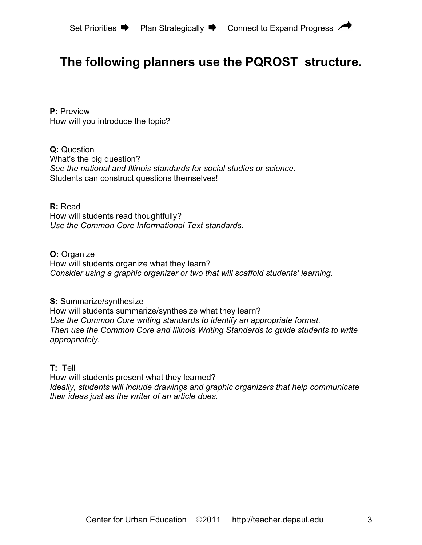# **The following planners use the PQROST structure.**

**P:** Preview How will you introduce the topic?

**Q:** Question What's the big question? *See the national and Illinois standards for social studies or science.* Students can construct questions themselves!

**R:** Read How will students read thoughtfully? *Use the Common Core Informational Text standards.*

**O:** Organize How will students organize what they learn? *Consider using a graphic organizer or two that will scaffold students' learning.*

**S:** Summarize/synthesize How will students summarize/synthesize what they learn? *Use the Common Core writing standards to identify an appropriate format. Then use the Common Core and Illinois Writing Standards to guide students to write appropriately.*

**T:** Tell

How will students present what they learned? *Ideally, students will include drawings and graphic organizers that help communicate their ideas just as the writer of an article does.*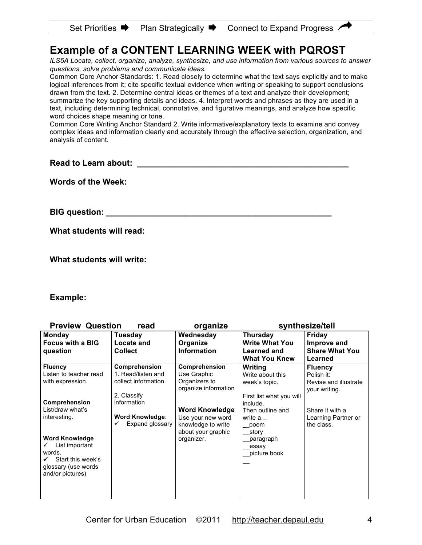| <b>Set Priorities</b> | <b>Plan Strategically</b> | Connect to Expand Progress |
|-----------------------|---------------------------|----------------------------|
|-----------------------|---------------------------|----------------------------|

# **Example of a CONTENT LEARNING WEEK with PQROST**

*ILS5A Locate, collect, organize, analyze, synthesize, and use information from various sources to answer questions, solve problems and communicate ideas.*

Common Core Anchor Standards: 1. Read closely to determine what the text says explicitly and to make logical inferences from it; cite specific textual evidence when writing or speaking to support conclusions drawn from the text. 2. Determine central ideas or themes of a text and analyze their development; summarize the key supporting details and ideas. 4. Interpret words and phrases as they are used in a text, including determining technical, connotative, and figurative meanings, and analyze how specific word choices shape meaning or tone.

Common Core Writing Anchor Standard 2. Write informative/explanatory texts to examine and convey complex ideas and information clearly and accurately through the effective selection, organization, and analysis of content.

**Read to Learn about: Example 20 August 20 August 20 August 20 August 20 August 20 August 20 August 20 August 20 August 20 August 20 August 20 August 20 August 20 August 20 August 20 August 20 August 20 August 20 August** 

**Words of the Week:** 

**BIG question: \_\_\_\_\_\_\_\_\_\_\_\_\_\_\_\_\_\_\_\_\_\_\_\_\_\_\_\_\_\_\_\_\_\_\_\_\_\_\_\_\_\_\_\_\_\_\_\_\_**

**What students will read:** 

**What students will write:**

#### **Example:**

| <b>Preview Question</b>                 | read                | organize                              | synthesize/tell          |                       |  |
|-----------------------------------------|---------------------|---------------------------------------|--------------------------|-----------------------|--|
| <b>Monday</b>                           | Tuesday             | Wednesday                             | <b>Thursday</b>          | Friday                |  |
| <b>Focus with a BIG</b>                 | <b>Locate and</b>   | Organize                              | <b>Write What You</b>    | Improve and           |  |
| question                                | <b>Collect</b>      | <b>Information</b>                    | <b>Learned and</b>       | <b>Share What You</b> |  |
|                                         |                     |                                       | <b>What You Knew</b>     | Learned               |  |
| <b>Fluency</b>                          | Comprehension       | Comprehension                         | Writing                  | <b>Fluency</b>        |  |
| Listen to teacher read                  | 1. Read/listen and  | Use Graphic                           | Write about this         | Polish it:            |  |
| with expression.                        | collect information | Organizers to<br>organize information | week's topic.            | Revise and illustrate |  |
|                                         | 2. Classify         |                                       | First list what you will | your writing.         |  |
| <b>Comprehension</b>                    | information         |                                       | include.                 |                       |  |
| List/draw what's                        |                     | <b>Word Knowledge</b>                 | Then outline and         | Share it with a       |  |
| interesting.                            | Word Knowledge:     | Use your new word                     | write a                  | Learning Partner or   |  |
|                                         | Expand glossary     | knowledge to write                    | poem                     | the class.            |  |
|                                         |                     | about your graphic                    | story                    |                       |  |
| <b>Word Knowledge</b>                   |                     | organizer.                            | paragraph                |                       |  |
| List important                          |                     |                                       | essay                    |                       |  |
| words.                                  |                     |                                       | picture book             |                       |  |
| Start this week's                       |                     |                                       |                          |                       |  |
| glossary (use words<br>and/or pictures) |                     |                                       |                          |                       |  |
|                                         |                     |                                       |                          |                       |  |
|                                         |                     |                                       |                          |                       |  |
|                                         |                     |                                       |                          |                       |  |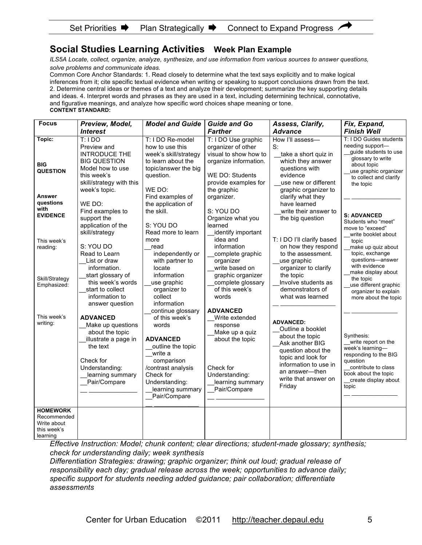### **Social Studies Learning Activities Week Plan Example**

*ILS5A Locate, collect, organize, analyze, synthesize, and use information from various sources to answer questions, solve problems and communicate ideas.*

Common Core Anchor Standards: 1. Read closely to determine what the text says explicitly and to make logical inferences from it; cite specific textual evidence when writing or speaking to support conclusions drawn from the text. 2. Determine central ideas or themes of a text and analyze their development; summarize the key supporting details and ideas. 4. Interpret words and phrases as they are used in a text, including determining technical, connotative, and figurative meanings, and analyze how specific word choices shape meaning or tone. **CONTENT STANDARD:** 

| <b>Focus</b>                                                                                     | Preview, Model,                                                                                                                                                                                                                             | <b>Model and Guide</b>                                                                                                                                                                                                       | <b>Guide and Go</b>                                                                                                                                                                                                                    | Assess, Clarify,                                                                                                                                                                                                                    | Fix, Expand,                                                                                                                                                                                                                                                     |
|--------------------------------------------------------------------------------------------------|---------------------------------------------------------------------------------------------------------------------------------------------------------------------------------------------------------------------------------------------|------------------------------------------------------------------------------------------------------------------------------------------------------------------------------------------------------------------------------|----------------------------------------------------------------------------------------------------------------------------------------------------------------------------------------------------------------------------------------|-------------------------------------------------------------------------------------------------------------------------------------------------------------------------------------------------------------------------------------|------------------------------------------------------------------------------------------------------------------------------------------------------------------------------------------------------------------------------------------------------------------|
|                                                                                                  | <b>Interest</b>                                                                                                                                                                                                                             |                                                                                                                                                                                                                              | <b>Farther</b>                                                                                                                                                                                                                         | <b>Advance</b>                                                                                                                                                                                                                      | <b>Finish Well</b>                                                                                                                                                                                                                                               |
| Topic:<br><b>BIG</b><br><b>QUESTION</b><br><b>Answer</b><br>questions<br>with<br><b>EVIDENCE</b> | $T:1$ DO<br>Preview and<br><b>INTRODUCE THE</b><br><b>BIG QUESTION</b><br>Model how to use<br>this week's<br>skill/strategy with this<br>week's topic.<br>WE DO:<br>Find examples to<br>support the<br>application of the<br>skill/strategy | T: I DO Re-model<br>how to use this<br>week's skill/strategy<br>to learn about the<br>topic/answer the big<br>question.<br>WE DO:<br>Find examples of<br>the application of<br>the skill.<br>S: YOU DO<br>Read more to learn | T: I DO Use graphic<br>organizer of other<br>visual to show how to<br>organize information.<br>WE DO: Students<br>provide examples for<br>the graphic<br>organizer.<br>S: YOU DO<br>Organize what you<br>learned<br>identify important | How I'll assess-<br>S:<br>take a short quiz in<br>which they answer<br>questions with<br>evidence<br>use new or different<br>graphic organizer to<br>clarify what they<br>have learned<br>write their answer to<br>the big question | T: I DO Guides students<br>needing support-<br>guide students to use<br>glossary to write<br>about topic<br>use graphic organizer<br>to collect and clarify<br>the topic<br><b>S: ADVANCED</b><br>Students who "meet"<br>move to "exceed"<br>write booklet about |
| This week's<br>reading:<br>Skill/Strategy<br>Emphasized:                                         | S: YOU DO<br>Read to Learn<br>List or draw<br>information.<br>start glossary of<br>this week's words<br>start to collect<br>information to<br>answer question                                                                               | more<br>read<br>independently or<br>with partner to<br>locate<br>information<br>use graphic<br>organizer to<br>collect<br>information<br>continue glossary                                                                   | idea and<br>information<br>complete graphic<br>organizer<br>write based on<br>graphic organizer<br>complete glossary<br>of this week's<br>words<br><b>ADVANCED</b>                                                                     | T: I DO I'll clarify based<br>on how they respond<br>to the assessment.<br>use graphic<br>organizer to clarify<br>the topic<br>Involve students as<br>demonstrators of<br>what was learned                                          | topic<br>make up quiz about<br>topic, exchange<br>questions-answer<br>with evidence<br>make display about<br>the topic<br>use different graphic<br>organizer to explain<br>more about the topic                                                                  |
| This week's<br>writing:                                                                          | <b>ADVANCED</b><br>Make up questions<br>about the topic<br>illustrate a page in<br>the text<br>Check for<br>Understanding:<br>learning summary<br>Pair/Compare                                                                              | of this week's<br>words<br><b>ADVANCED</b><br>outline the topic<br>write a<br>comparison<br>/contrast analysis<br>Check for<br>Understanding:<br>learning summary<br>Pair/Compare                                            | Write extended<br>response<br>Make up a quiz<br>about the topic<br>Check for<br>Understanding:<br>learning summary<br>Pair/Compare                                                                                                     | <b>ADVANCED:</b><br>Outline a booklet<br>about the topic<br>Ask another BIG<br>question about the<br>topic and look for<br>information to use in<br>an answer-then<br>write that answer on<br>Friday                                | Synthesis:<br>write report on the<br>week's learning-<br>responding to the BIG<br>question<br>contribute to class<br>book about the topic<br>create display about<br>topic                                                                                       |
| <b>HOMEWORK</b><br>Recommended<br>Write about<br>this week's<br>learning                         |                                                                                                                                                                                                                                             |                                                                                                                                                                                                                              |                                                                                                                                                                                                                                        |                                                                                                                                                                                                                                     |                                                                                                                                                                                                                                                                  |

*Effective Instruction: Model; chunk content; clear directions; student-made glossary; synthesis; check for understanding daily; week synthesis*

*Differentiation Strategies: drawing; graphic organizer; think out loud; gradual release of responsibility each day; gradual release across the week; opportunities to advance daily; specific support for students needing added guidance; pair collaboration; differentiate assessments*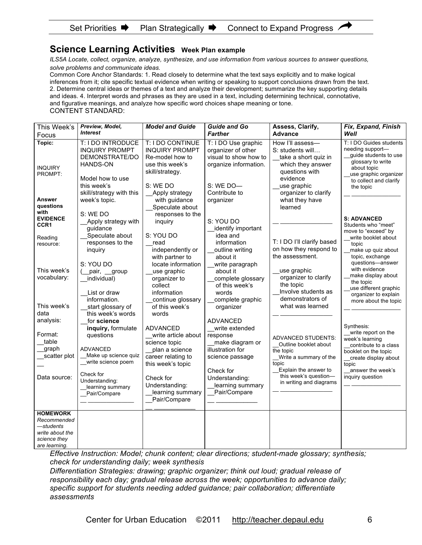#### Set Priorities  $\blacksquare$  Plan Strategically  $\blacksquare$  Connect to Expand Progress

#### **Science Learning Activities Week Plan example**

*ILS5A Locate, collect, organize, analyze, synthesize, and use information from various sources to answer questions, solve problems and communicate ideas.*

Common Core Anchor Standards: 1. Read closely to determine what the text says explicitly and to make logical inferences from it; cite specific textual evidence when writing or speaking to support conclusions drawn from the text. 2. Determine central ideas or themes of a text and analyze their development; summarize the key supporting details and ideas. 4. Interpret words and phrases as they are used in a text, including determining technical, connotative, and figurative meanings, and analyze how specific word choices shape meaning or tone. CONTENT STANDARD:

| This Week's                                                                               | Preview, Model,<br><b>Interest</b>                                                                                                                                                   | <b>Model and Guide</b>                                                                                                                                                                  | <b>Guide and Go</b>                                                                                                                                                        | Assess, Clarify,                                                                                                                                                                | Fix, Expand, Finish                                                                                                                                                                    |
|-------------------------------------------------------------------------------------------|--------------------------------------------------------------------------------------------------------------------------------------------------------------------------------------|-----------------------------------------------------------------------------------------------------------------------------------------------------------------------------------------|----------------------------------------------------------------------------------------------------------------------------------------------------------------------------|---------------------------------------------------------------------------------------------------------------------------------------------------------------------------------|----------------------------------------------------------------------------------------------------------------------------------------------------------------------------------------|
| Focus                                                                                     |                                                                                                                                                                                      |                                                                                                                                                                                         | <b>Farther</b>                                                                                                                                                             | <b>Advance</b>                                                                                                                                                                  | Well                                                                                                                                                                                   |
| Topic:<br><b>INQUIRY</b><br>PROMPT:<br>Answer                                             | T: I DO INTRODUCE<br><b>INQUIRY PROMPT</b><br>DEMONSTRATE/DO<br>HANDS-ON<br>Model how to use<br>this week's<br>skill/strategy with this                                              | T: I DO CONTINUE<br><b>INQUIRY PROMPT</b><br>Re-model how to<br>use this week's<br>skill/strategy.<br>S: WE DO<br>Apply strategy                                                        | T: I DO Use graphic<br>organizer of other<br>visual to show how to<br>organize information.<br>S: WE DO-<br>Contribute to                                                  | How I'll assess-<br>S: students will<br>take a short quiz in<br>which they answer<br>questions with<br>evidence<br>use graphic<br>organizer to clarify                          | T: I DO Guides students<br>needing support-<br>guide students to use<br>glossary to write<br>about topic<br>use graphic organizer<br>to collect and clarify<br>the topic               |
| questions                                                                                 | week's topic.                                                                                                                                                                        | with guidance<br>Speculate about                                                                                                                                                        | organizer                                                                                                                                                                  | what they have<br>learned                                                                                                                                                       |                                                                                                                                                                                        |
| with<br><b>EVIDENCE</b><br>CCR1<br>Reading<br>resource:                                   | S: WE DO<br>Apply strategy with<br>guidance<br>Speculate about<br>responses to the                                                                                                   | responses to the<br>inquiry<br>S: YOU DO<br>read                                                                                                                                        | S: YOU DO<br>identify important<br>idea and<br>information                                                                                                                 | T: I DO I'll clarify based                                                                                                                                                      | <b>S: ADVANCED</b><br>Students who "meet"<br>move to "exceed" by<br>write booklet about<br>topic                                                                                       |
| This week's<br>vocabulary:                                                                | inquiry<br>S: YOU DO<br>pair, group<br>individual)<br>List or draw<br>information.                                                                                                   | independently or<br>with partner to<br>locate information<br>use graphic<br>organizer to<br>collect<br>information<br>continue glossary                                                 | outline writing<br>about it<br>write paragraph<br>about it<br>complete glossary<br>of this week's<br>words<br>complete graphic                                             | on how they respond to<br>the assessment.<br>use graphic<br>organizer to clarify<br>the topic<br>Involve students as<br>demonstrators of                                        | make up quiz about<br>topic, exchange<br>questions-answer<br>with evidence<br>make display about<br>the topic<br>use different graphic<br>organizer to explain<br>more about the topic |
| This week's                                                                               | start glossary of                                                                                                                                                                    | of this week's                                                                                                                                                                          | organizer                                                                                                                                                                  | what was learned                                                                                                                                                                |                                                                                                                                                                                        |
| data                                                                                      | this week's words                                                                                                                                                                    | words                                                                                                                                                                                   |                                                                                                                                                                            |                                                                                                                                                                                 |                                                                                                                                                                                        |
| analysis:<br>Format:<br>table<br>graph<br>scatter plot<br>Data source:<br><b>HOMEWORK</b> | for science<br>inquiry, formulate<br>questions<br><b>ADVANCED</b><br>Make up science quiz<br>__write science poem<br>Check for<br>Understanding:<br>learning summary<br>Pair/Compare | <b>ADVANCED</b><br>write article about<br>science topic<br>plan a science<br>career relating to<br>this week's topic<br>Check for<br>Understanding:<br>learning summary<br>Pair/Compare | <b>ADVANCED</b><br>write extended<br>response<br>make diagram or<br>illustration for<br>science passage<br>Check for<br>Understanding:<br>learning summary<br>Pair/Compare | <b>ADVANCED STUDENTS:</b><br>Outline booklet about<br>the topic<br>Write a summary of the<br>topic<br>Explain the answer to<br>this week's question-<br>in writing and diagrams | Synthesis:<br>write report on the<br>week's learning<br>contribute to a class<br>booklet on the topic<br>create display about<br>topic<br>answer the week's<br>inquiry question        |
| Recommended<br>—students<br>write about the<br>science they<br>are learning.              |                                                                                                                                                                                      |                                                                                                                                                                                         |                                                                                                                                                                            |                                                                                                                                                                                 |                                                                                                                                                                                        |

*Effective Instruction: Model; chunk content; clear directions; student-made glossary; synthesis; check for understanding daily; week synthesis*

*Differentiation Strategies: drawing; graphic organizer; think out loud; gradual release of responsibility each day; gradual release across the week; opportunities to advance daily; specific support for students needing added guidance; pair collaboration; differentiate assessments*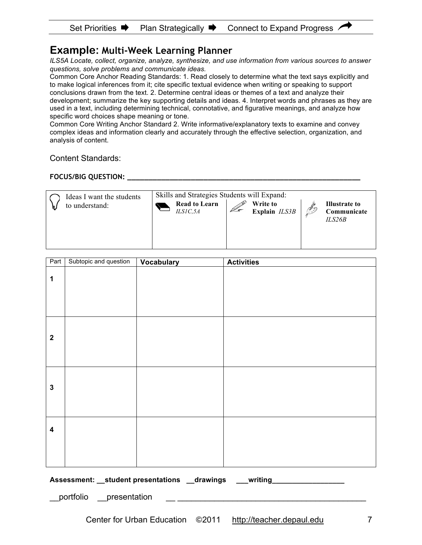# **Example: Multi-Week Learning Planner**

*ILS5A Locate, collect, organize, analyze, synthesize, and use information from various sources to answer questions, solve problems and communicate ideas.*

Common Core Anchor Reading Standards: 1. Read closely to determine what the text says explicitly and to make logical inferences from it; cite specific textual evidence when writing or speaking to support conclusions drawn from the text. 2. Determine central ideas or themes of a text and analyze their development; summarize the key supporting details and ideas. 4. Interpret words and phrases as they are used in a text, including determining technical, connotative, and figurative meanings, and analyze how specific word choices shape meaning or tone.

Common Core Writing Anchor Standard 2. Write informative/explanatory texts to examine and convey complex ideas and information clearly and accurately through the effective selection, organization, and analysis of content.

#### Content Standards:

#### **FOCUS/BIG QUESTION: \_\_\_\_\_\_\_\_\_\_\_\_\_\_\_\_\_\_\_\_\_\_\_\_\_\_\_\_\_\_\_\_\_\_\_\_\_\_\_\_\_\_\_\_\_\_\_\_\_\_\_\_\_\_\_**

| Ideas I want the students<br>to understand: | Skills and Strategies Students will Expand:<br><b>Read to Learn</b><br>ILSIC, 5A | Write to<br>Explain ILS3B | Illustrate to<br>$\mathscr{F}$<br>Communicate<br>ILS26B |  |
|---------------------------------------------|----------------------------------------------------------------------------------|---------------------------|---------------------------------------------------------|--|
|---------------------------------------------|----------------------------------------------------------------------------------|---------------------------|---------------------------------------------------------|--|

| Part                    | Subtopic and question                                                       | <b>Vocabulary</b> | <b>Activities</b> |  |  |
|-------------------------|-----------------------------------------------------------------------------|-------------------|-------------------|--|--|
| 1                       |                                                                             |                   |                   |  |  |
| $\overline{\mathbf{2}}$ |                                                                             |                   |                   |  |  |
| $\mathbf{3}$            |                                                                             |                   |                   |  |  |
| $\overline{\mathbf{4}}$ |                                                                             |                   |                   |  |  |
|                         | Assessment: __student presentations __drawings ___writing _________________ |                   |                   |  |  |
|                         | _portfolio _presentation                                                    |                   |                   |  |  |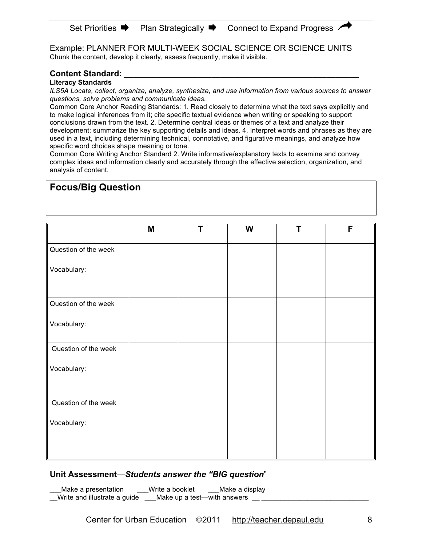Example: PLANNER FOR MULTI-WEEK SOCIAL SCIENCE OR SCIENCE UNITS Chunk the content, develop it clearly, assess frequently, make it visible.

#### **Content Standard: \_\_\_\_\_\_\_\_\_\_\_\_\_\_\_\_\_\_\_\_\_\_\_\_\_\_\_\_\_\_\_\_\_\_\_\_\_\_\_\_\_\_\_\_\_\_\_\_\_\_\_**

**Focus/Big Question** 

**Literacy Standards**

*ILS5A Locate, collect, organize, analyze, synthesize, and use information from various sources to answer questions, solve problems and communicate ideas.*

Common Core Anchor Reading Standards: 1. Read closely to determine what the text says explicitly and to make logical inferences from it; cite specific textual evidence when writing or speaking to support conclusions drawn from the text. 2. Determine central ideas or themes of a text and analyze their development; summarize the key supporting details and ideas. 4. Interpret words and phrases as they are used in a text, including determining technical, connotative, and figurative meanings, and analyze how specific word choices shape meaning or tone.

Common Core Writing Anchor Standard 2. Write informative/explanatory texts to examine and convey complex ideas and information clearly and accurately through the effective selection, organization, and analysis of content.

# **M T W T F** Question of the week Vocabulary: Question of the week Vocabulary: Question of the week Vocabulary: Question of the week Vocabulary:

#### **Unit Assessment**—*Students answer the "BIG question*"

Make a presentation Write a booklet Make a display Write and illustrate a guide  $\_\_\_\_\_\_\_\_\$ Make up a test—with answers  $\_\_\_\_\_\_\_\_\_\_\_\_\_\_\_\_\_\_\_\_\_\_\_$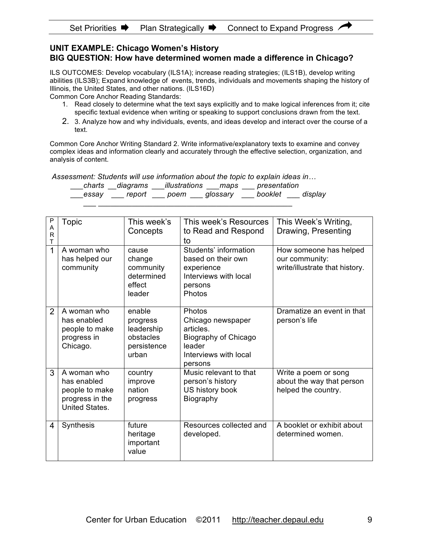#### **UNIT EXAMPLE: Chicago Women's History BIG QUESTION: How have determined women made a difference in Chicago?**

ILS OUTCOMES: Develop vocabulary (ILS1A); increase reading strategies; (ILS1B), develop writing abilities (ILS3B); Expand knowledge of events, trends, individuals and movements shaping the history of Illinois, the United States, and other nations. (ILS16D)

Common Core Anchor Reading Standards:

- 1. Read closely to determine what the text says explicitly and to make logical inferences from it; cite specific textual evidence when writing or speaking to support conclusions drawn from the text.
- 2. 3. Analyze how and why individuals, events, and ideas develop and interact over the course of a text.

Common Core Anchor Writing Standard 2. Write informative/explanatory texts to examine and convey complex ideas and information clearly and accurately through the effective selection, organization, and analysis of content.

 *Assessment: Students will use information about the topic to explain ideas in…* 

 $\mathcal{L} = \{ \mathcal{L}_1, \mathcal{L}_2, \ldots, \mathcal{L}_n \}$  , where  $\mathcal{L}_1$ 

| charts | diagrams | illustrations | maps     | presentation |         |
|--------|----------|---------------|----------|--------------|---------|
| essav  | report   | poem          | glossary | booklet      | display |

| Ρ              | <b>Topic</b>                                                                      | This week's                                                           | This week's Resources                                                                                          | This Week's Writing,                                                       |
|----------------|-----------------------------------------------------------------------------------|-----------------------------------------------------------------------|----------------------------------------------------------------------------------------------------------------|----------------------------------------------------------------------------|
| A<br>R         |                                                                                   | Concepts                                                              | to Read and Respond                                                                                            | Drawing, Presenting                                                        |
| T              |                                                                                   |                                                                       | to                                                                                                             |                                                                            |
| 1              | A woman who<br>has helped our<br>community                                        | cause<br>change<br>community<br>determined<br>effect<br>leader        | Students' information<br>based on their own<br>experience<br>Interviews with local<br>persons<br>Photos        | How someone has helped<br>our community:<br>write/illustrate that history. |
| $\overline{2}$ | A woman who<br>has enabled<br>people to make<br>progress in<br>Chicago.           | enable<br>progress<br>leadership<br>obstacles<br>persistence<br>urban | Photos<br>Chicago newspaper<br>articles.<br>Biography of Chicago<br>leader<br>Interviews with local<br>persons | Dramatize an event in that<br>person's life                                |
| 3              | A woman who<br>has enabled<br>people to make<br>progress in the<br>United States. | country<br>improve<br>nation<br>progress                              | Music relevant to that<br>person's history<br>US history book<br>Biography                                     | Write a poem or song<br>about the way that person<br>helped the country.   |
| 4              | Synthesis                                                                         | future<br>heritage<br>important<br>value                              | Resources collected and<br>developed.                                                                          | A booklet or exhibit about<br>determined women.                            |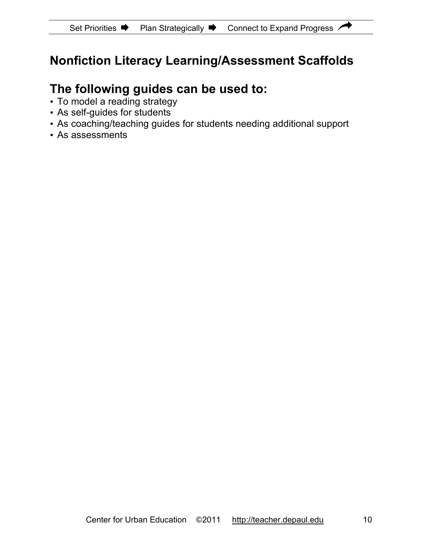# **Nonfiction Literacy Learning/Assessment Scaffolds**

# **The following guides can be used to:**

- To model a reading strategy
- As self-guides for students
- As coaching/teaching guides for students needing additional support
- As assessments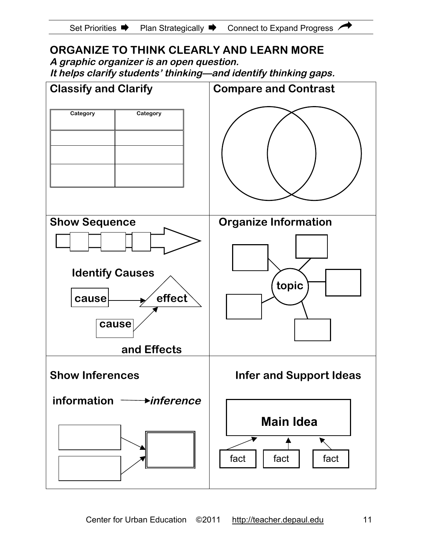

# **ORGANIZE TO THINK CLEARLY AND LEARN MORE**

**A graphic organizer is an open question.**

**It helps clarify students' thinking—and identify thinking gaps.**

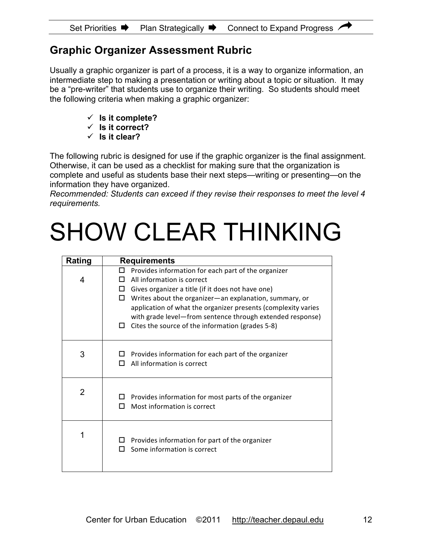# **Graphic Organizer Assessment Rubric**

Usually a graphic organizer is part of a process, it is a way to organize information, an intermediate step to making a presentation or writing about a topic or situation. It may be a "pre-writer" that students use to organize their writing. So students should meet the following criteria when making a graphic organizer:

- $\checkmark$  Is it complete?
- **Is it correct?**
- **Is it clear?**

The following rubric is designed for use if the graphic organizer is the final assignment. Otherwise, it can be used as a checklist for making sure that the organization is complete and useful as students base their next steps—writing or presenting—on the information they have organized.

*Recommended: Students can exceed if they revise their responses to meet the level 4 requirements.*

# SHOW CLEAR THINKING

| <b>Rating</b>  | <b>Requirements</b>                                                                      |
|----------------|------------------------------------------------------------------------------------------|
|                | Provides information for each part of the organizer<br>ш                                 |
| 4              | All information is correct<br>П                                                          |
|                | Gives organizer a title (if it does not have one)<br>□                                   |
|                | Writes about the organizer-an explanation, summary, or<br>П                              |
|                | application of what the organizer presents (complexity varies                            |
|                | with grade level-from sentence through extended response)                                |
|                | Cites the source of the information (grades 5-8)<br>0                                    |
|                |                                                                                          |
| 3              | Provides information for each part of the organizer                                      |
|                | All information is correct<br>п                                                          |
|                |                                                                                          |
|                |                                                                                          |
| $\overline{2}$ |                                                                                          |
|                | Provides information for most parts of the organizer<br>Most information is correct<br>п |
|                |                                                                                          |
|                |                                                                                          |
| 1              |                                                                                          |
|                | Provides information for part of the organizer<br>□                                      |
|                | Some information is correct<br>п                                                         |
|                |                                                                                          |
|                |                                                                                          |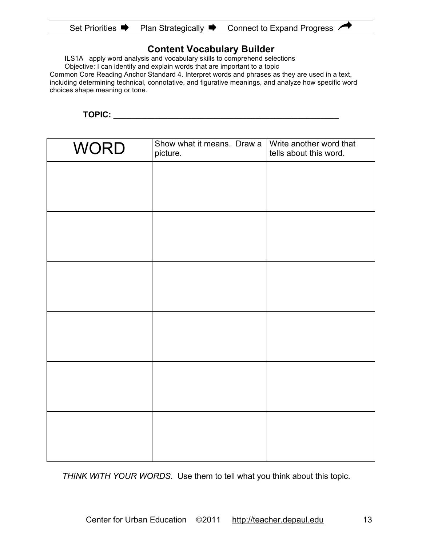| <b>Set Priorities</b> | <b>Plan Strategically</b> | Connect to Expand Progress |
|-----------------------|---------------------------|----------------------------|
|-----------------------|---------------------------|----------------------------|

#### **Content Vocabulary Builder**

ILS1A apply word analysis and vocabulary skills to comprehend selections

Objective: I can identify and explain words that are important to a topic

Common Core Reading Anchor Standard 4. Interpret words and phrases as they are used in a text, including determining technical, connotative, and figurative meanings, and analyze how specific word choices shape meaning or tone.

**TOPIC: \_\_\_\_\_\_\_\_\_\_\_\_\_\_\_\_\_\_\_\_\_\_\_\_\_\_\_\_\_\_\_\_\_\_\_\_\_\_\_\_\_\_\_\_\_\_\_\_\_**

| <b>WORD</b> | Show what it means. Draw a<br>picture. | Write another word that<br>tells about this word. |
|-------------|----------------------------------------|---------------------------------------------------|
|             |                                        |                                                   |
|             |                                        |                                                   |
|             |                                        |                                                   |
|             |                                        |                                                   |
|             |                                        |                                                   |
|             |                                        |                                                   |
|             |                                        |                                                   |
|             |                                        |                                                   |
|             |                                        |                                                   |
|             |                                        |                                                   |
|             |                                        |                                                   |
|             |                                        |                                                   |

*THINK WITH YOUR WORDS*. Use them to tell what you think about this topic.

 $\overline{\mathbf{r}}$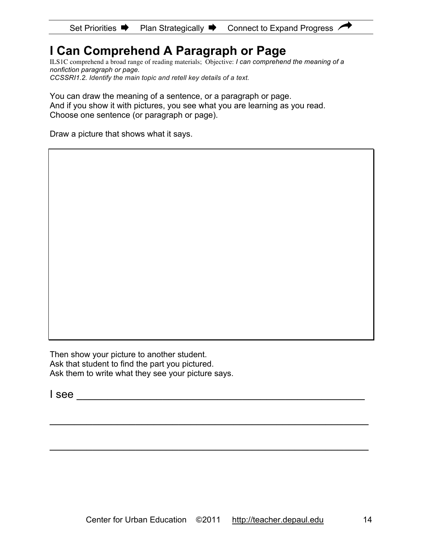# **I Can Comprehend A Paragraph or Page**

ILS1C comprehend a broad range of reading materials; Objective: *I can comprehend the meaning of a nonfiction paragraph or page. CCSSRI1.2. Identify the main topic and retell key details of a text.*

You can draw the meaning of a sentence, or a paragraph or page. And if you show it with pictures, you see what you are learning as you read. Choose one sentence (or paragraph or page).

Draw a picture that shows what it says.

Then show your picture to another student. Ask that student to find the part you pictured. Ask them to write what they see your picture says.

 $\blacksquare$  see

 $\mathcal{L}_\text{G}$  , and the contribution of the contribution of the contribution of the contribution of the contribution of the contribution of the contribution of the contribution of the contribution of the contribution of t

 $\mathcal{L}_\text{G}$  , and the contribution of the contribution of the contribution of the contribution of the contribution of the contribution of the contribution of the contribution of the contribution of the contribution of t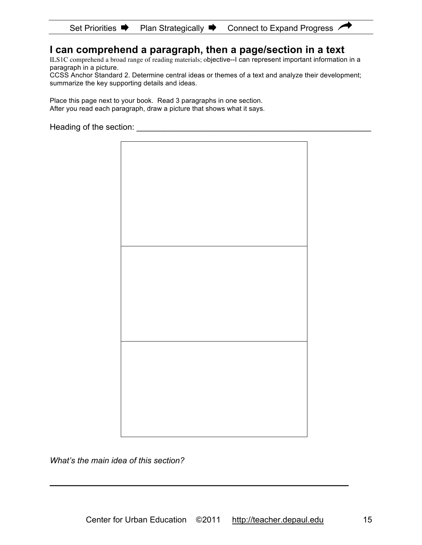#### Set Priorities  $\Rightarrow$  Plan Strategically  $\Rightarrow$  Connect to Expand Progress A

# **I can comprehend a paragraph, then a page/section in a text**

ILS1C comprehend a broad range of reading materials; objective--I can represent important information in a paragraph in a picture.

CCSS Anchor Standard 2. Determine central ideas or themes of a text and analyze their development; summarize the key supporting details and ideas.

Place this page next to your book. Read 3 paragraphs in one section. After you read each paragraph, draw a picture that shows what it says.

Heading of the section: **Example 20** Figure 20 Figure 20 Figure 20 Figure 20 Figure 20 Figure 20 Figure 20 Figure 20 Figure 20 Figure 20 Figure 20 Figure 20 Figure 20 Figure 20 Figure 20 Figure 20 Figure 20 Figure 20 Figur



*What's the main idea of this section?*

**\_\_\_\_\_\_\_\_\_\_\_\_\_\_\_\_\_\_\_\_\_\_\_\_\_\_\_\_\_\_\_\_\_\_\_\_\_\_\_\_\_\_\_\_\_\_\_\_\_\_\_\_\_\_\_\_\_\_\_\_\_\_\_\_\_**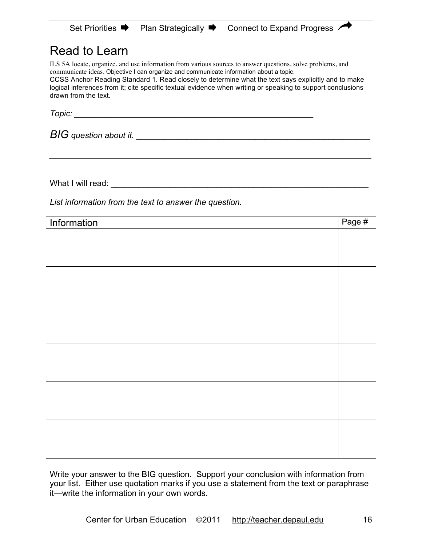# Read to Learn

ILS 5A locate, organize, and use information from various sources to answer questions, solve problems, and communicate ideas. Objective I can organize and communicate information about a topic. CCSS Anchor Reading Standard 1. Read closely to determine what the text says explicitly and to make logical inferences from it; cite specific textual evidence when writing or speaking to support conclusions drawn from the text.

*\_\_\_\_\_\_\_\_\_\_\_\_\_\_\_\_\_\_\_\_\_\_\_\_\_\_\_\_\_\_\_\_\_\_\_\_\_\_\_\_\_\_\_\_\_\_\_\_\_\_\_\_\_\_\_\_\_\_\_\_\_\_\_\_\_\_\_\_\_\_*

*Topic: \_\_\_\_\_\_\_\_\_\_\_\_\_\_\_\_\_\_\_\_\_\_\_\_\_\_\_\_\_\_\_\_\_\_\_\_\_\_\_\_\_\_\_\_\_\_\_\_\_\_\_\_*

*BIG question about it. \_\_\_\_\_\_\_\_\_\_\_\_\_\_\_\_\_\_\_\_\_\_\_\_\_\_\_\_\_\_\_\_\_\_\_\_\_\_\_\_\_\_\_\_\_\_\_\_\_\_\_*

What I will read: **What I will read:**  $\blacksquare$ 

*List information from the text to answer the question.*

| Information | Page # |
|-------------|--------|
|             |        |
|             |        |
|             |        |
|             |        |
|             |        |
|             |        |
|             |        |
|             |        |
|             |        |
|             |        |
|             |        |
|             |        |
|             |        |
|             |        |
|             |        |
|             |        |
|             |        |
|             |        |

Write your answer to the BIG question. Support your conclusion with information from your list. Either use quotation marks if you use a statement from the text or paraphrase it—write the information in your own words.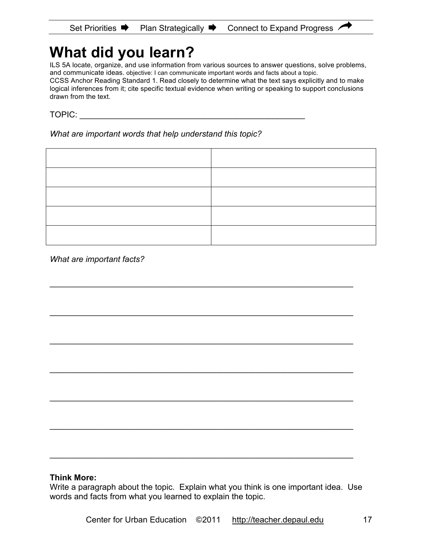# **What did you learn?**

ILS 5A locate, organize, and use information from various sources to answer questions, solve problems, and communicate ideas. objective: I can communicate important words and facts about a topic. CCSS Anchor Reading Standard 1. Read closely to determine what the text says explicitly and to make

logical inferences from it; cite specific textual evidence when writing or speaking to support conclusions drawn from the text.

TOPIC: \_\_\_\_\_\_\_\_\_\_\_\_\_\_\_\_\_\_\_\_\_\_\_\_\_\_\_\_\_\_\_\_\_\_\_\_\_\_\_\_\_\_\_\_\_\_\_\_\_

*What are important words that help understand this topic?*

 $\mathcal{L}_\text{max}$  and  $\mathcal{L}_\text{max}$  and  $\mathcal{L}_\text{max}$  and  $\mathcal{L}_\text{max}$  and  $\mathcal{L}_\text{max}$  and  $\mathcal{L}_\text{max}$ 

\_\_\_\_\_\_\_\_\_\_\_\_\_\_\_\_\_\_\_\_\_\_\_\_\_\_\_\_\_\_\_\_\_\_\_\_\_\_\_\_\_\_\_\_\_\_\_\_\_\_\_\_\_\_\_\_\_\_\_\_\_\_\_\_\_\_

\_\_\_\_\_\_\_\_\_\_\_\_\_\_\_\_\_\_\_\_\_\_\_\_\_\_\_\_\_\_\_\_\_\_\_\_\_\_\_\_\_\_\_\_\_\_\_\_\_\_\_\_\_\_\_\_\_\_\_\_\_\_\_\_\_\_

\_\_\_\_\_\_\_\_\_\_\_\_\_\_\_\_\_\_\_\_\_\_\_\_\_\_\_\_\_\_\_\_\_\_\_\_\_\_\_\_\_\_\_\_\_\_\_\_\_\_\_\_\_\_\_\_\_\_\_\_\_\_\_\_\_\_

\_\_\_\_\_\_\_\_\_\_\_\_\_\_\_\_\_\_\_\_\_\_\_\_\_\_\_\_\_\_\_\_\_\_\_\_\_\_\_\_\_\_\_\_\_\_\_\_\_\_\_\_\_\_\_\_\_\_\_\_\_\_\_\_\_\_

\_\_\_\_\_\_\_\_\_\_\_\_\_\_\_\_\_\_\_\_\_\_\_\_\_\_\_\_\_\_\_\_\_\_\_\_\_\_\_\_\_\_\_\_\_\_\_\_\_\_\_\_\_\_\_\_\_\_\_\_\_\_\_\_\_\_

\_\_\_\_\_\_\_\_\_\_\_\_\_\_\_\_\_\_\_\_\_\_\_\_\_\_\_\_\_\_\_\_\_\_\_\_\_\_\_\_\_\_\_\_\_\_\_\_\_\_\_\_\_\_\_\_\_\_\_\_\_\_\_\_\_\_

*What are important facts?*

#### **Think More:**

Write a paragraph about the topic. Explain what you think is one important idea. Use words and facts from what you learned to explain the topic.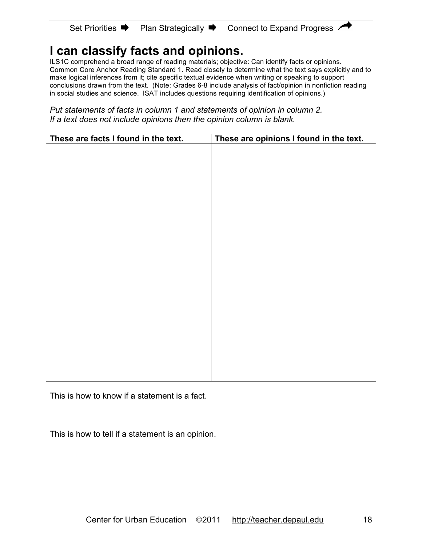#### Set Priorities  $\blacksquare$  Plan Strategically  $\blacksquare$  Connect to Expand Progress  $\land$

# **I can classify facts and opinions.**

ILS1C comprehend a broad range of reading materials; objective: Can identify facts or opinions. Common Core Anchor Reading Standard 1. Read closely to determine what the text says explicitly and to make logical inferences from it; cite specific textual evidence when writing or speaking to support conclusions drawn from the text. (Note: Grades 6-8 include analysis of fact/opinion in nonfiction reading in social studies and science. ISAT includes questions requiring identification of opinions.)

*Put statements of facts in column 1 and statements of opinion in column 2. If a text does not include opinions then the opinion column is blank.* 

| These are facts I found in the text. | These are opinions I found in the text. |
|--------------------------------------|-----------------------------------------|
|                                      |                                         |
|                                      |                                         |
|                                      |                                         |
|                                      |                                         |
|                                      |                                         |
|                                      |                                         |
|                                      |                                         |
|                                      |                                         |
|                                      |                                         |
|                                      |                                         |
|                                      |                                         |
|                                      |                                         |
|                                      |                                         |
|                                      |                                         |
|                                      |                                         |
|                                      |                                         |
|                                      |                                         |
|                                      |                                         |
|                                      |                                         |
|                                      |                                         |
|                                      |                                         |

This is how to know if a statement is a fact.

This is how to tell if a statement is an opinion.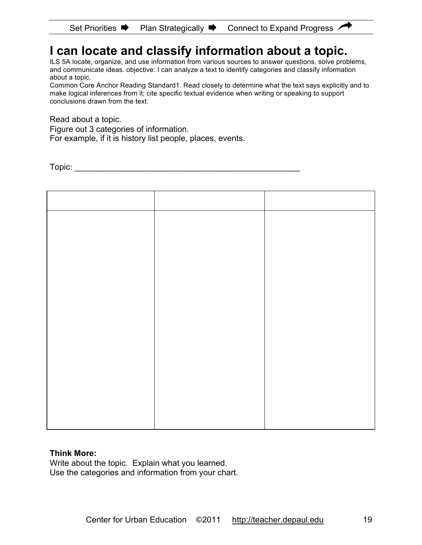# **I can locate and classify information about a topic.**

ILS 5A locate, organize, and use information from various sources to answer questions, solve problems, and communicate ideas. objective: I can analyze a text to identify categories and classify information about a topic.

Common Core Anchor Reading Standard1. Read closely to determine what the text says explicitly and to make logical inferences from it; cite specific textual evidence when writing or speaking to support conclusions drawn from the text.

Read about a topic.

Figure out 3 categories of information.

For example, if it is history list people, places, events.

 $\text{Topic:}$ 

#### **Think More:**

Write about the topic. Explain what you learned. Use the categories and information from your chart.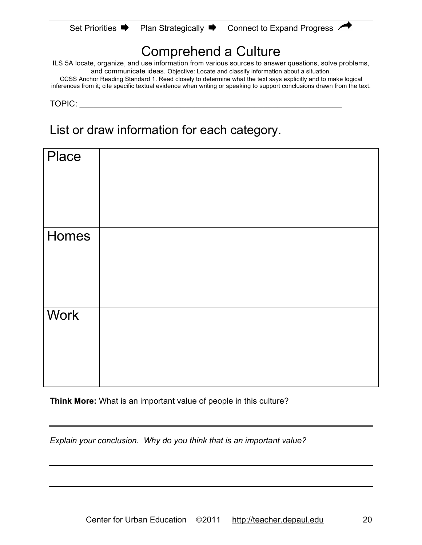|  | Set Priorities ■ | <b>Plan Strategically</b> | Connect to Expand Progress |
|--|------------------|---------------------------|----------------------------|
|--|------------------|---------------------------|----------------------------|

# Comprehend a Culture

ILS 5A locate, organize, and use information from various sources to answer questions, solve problems, and communicate ideas. Objective: Locate and classify information about a situation.

CCSS Anchor Reading Standard 1. Read closely to determine what the text says explicitly and to make logical inferences from it; cite specific textual evidence when writing or speaking to support conclusions drawn from the text.

TOPIC: **with a set of the set of the set of the set of the set of the set of the set of the set of the set of the set of the set of the set of the set of the set of the set of the set of the set of the set of the set of th** 

List or draw information for each category.

| Place       |  |
|-------------|--|
| Homes       |  |
| <b>Work</b> |  |

**Think More:** What is an important value of people in this culture?

*Explain your conclusion. Why do you think that is an important value?*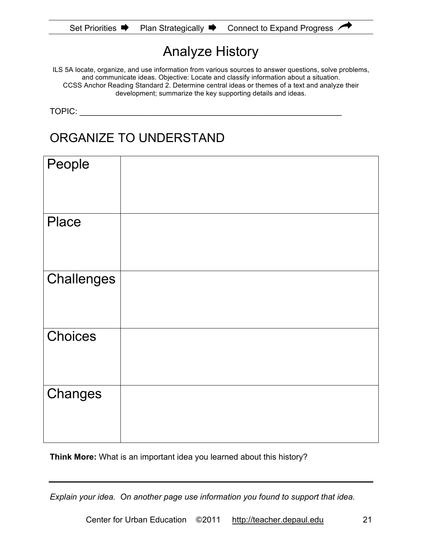| Set Priorities | Plan Strategically $\blacktriangleright$ | Connect to Expand Progress / |
|----------------|------------------------------------------|------------------------------|
|----------------|------------------------------------------|------------------------------|

# Analyze History

ILS 5A locate, organize, and use information from various sources to answer questions, solve problems, and communicate ideas. Objective: Locate and classify information about a situation. CCSS Anchor Reading Standard 2. Determine central ideas or themes of a text and analyze their development; summarize the key supporting details and ideas.

TOPIC:

# ORGANIZE TO UNDERSTAND

| People       |  |
|--------------|--|
| <b>Place</b> |  |
| Challenges   |  |
| Choices      |  |
| Changes      |  |

**Think More:** What is an important idea you learned about this history?

*Explain your idea. On another page use information you found to support that idea.*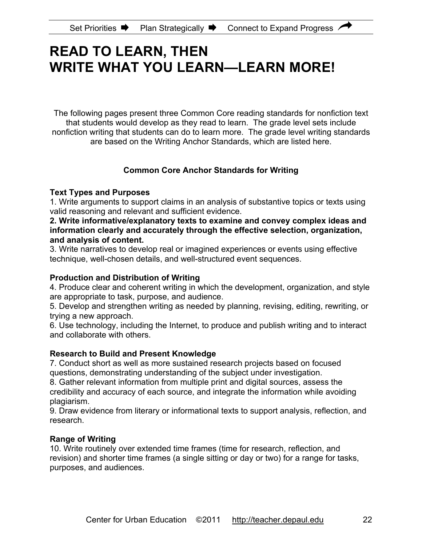# **READ TO LEARN, THEN WRITE WHAT YOU LEARN—LEARN MORE!**

The following pages present three Common Core reading standards for nonfiction text that students would develop as they read to learn. The grade level sets include nonfiction writing that students can do to learn more. The grade level writing standards are based on the Writing Anchor Standards, which are listed here.

### **Common Core Anchor Standards for Writing**

#### **Text Types and Purposes**

1. Write arguments to support claims in an analysis of substantive topics or texts using valid reasoning and relevant and sufficient evidence.

#### **2. Write informative/explanatory texts to examine and convey complex ideas and information clearly and accurately through the effective selection, organization, and analysis of content.**

3. Write narratives to develop real or imagined experiences or events using effective technique, well-chosen details, and well-structured event sequences.

#### **Production and Distribution of Writing**

4. Produce clear and coherent writing in which the development, organization, and style are appropriate to task, purpose, and audience.

5. Develop and strengthen writing as needed by planning, revising, editing, rewriting, or trying a new approach.

6. Use technology, including the Internet, to produce and publish writing and to interact and collaborate with others.

### **Research to Build and Present Knowledge**

7. Conduct short as well as more sustained research projects based on focused questions, demonstrating understanding of the subject under investigation.

8. Gather relevant information from multiple print and digital sources, assess the credibility and accuracy of each source, and integrate the information while avoiding plagiarism.

9. Draw evidence from literary or informational texts to support analysis, reflection, and research.

### **Range of Writing**

10. Write routinely over extended time frames (time for research, reflection, and revision) and shorter time frames (a single sitting or day or two) for a range for tasks, purposes, and audiences.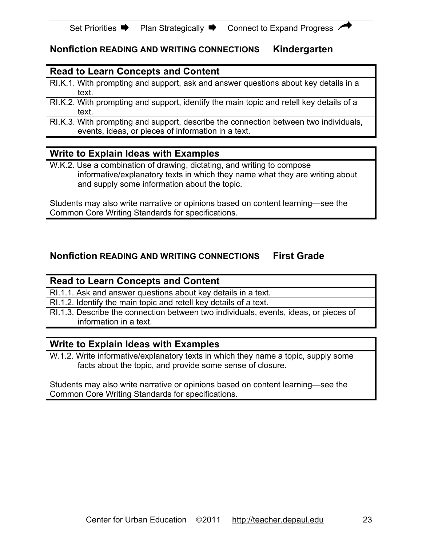## **Nonfiction READING AND WRITING CONNECTIONS Kindergarten**

### **Read to Learn Concepts and Content**

- RI.K.1. With prompting and support, ask and answer questions about key details in a text.
- RI.K.2. With prompting and support, identify the main topic and retell key details of a text.
- RI.K.3. With prompting and support, describe the connection between two individuals, events, ideas, or pieces of information in a text.

### **Write to Explain Ideas with Examples**

W.K.2. Use a combination of drawing, dictating, and writing to compose informative/explanatory texts in which they name what they are writing about and supply some information about the topic.

Students may also write narrative or opinions based on content learning—see the Common Core Writing Standards for specifications.

## **Nonfiction READING AND WRITING CONNECTIONS First Grade**

### **Read to Learn Concepts and Content**

RI.1.1. Ask and answer questions about key details in a text.

RI.1.2. Identify the main topic and retell key details of a text.

RI.1.3. Describe the connection between two individuals, events, ideas, or pieces of information in a text.

### **Write to Explain Ideas with Examples**

W.1.2. Write informative/explanatory texts in which they name a topic, supply some facts about the topic, and provide some sense of closure.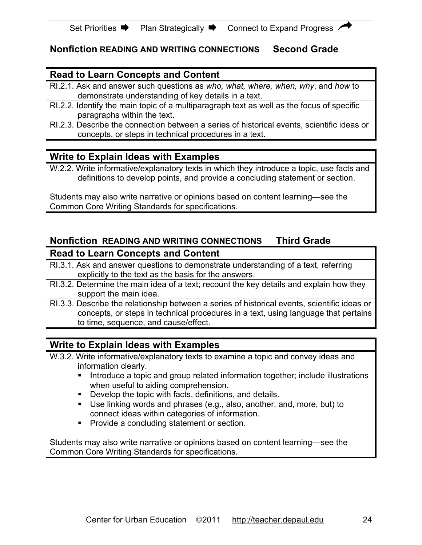## **Nonfiction READING AND WRITING CONNECTIONS Second Grade**

### **Read to Learn Concepts and Content**

- RI.2.1. Ask and answer such questions as *who, what, where, when, why*, and *how* to demonstrate understanding of key details in a text.
- RI.2.2. Identify the main topic of a multiparagraph text as well as the focus of specific paragraphs within the text.
- RI.2.3. Describe the connection between a series of historical events, scientific ideas or concepts, or steps in technical procedures in a text.

### **Write to Explain Ideas with Examples**

W.2.2. Write informative/explanatory texts in which they introduce a topic, use facts and definitions to develop points, and provide a concluding statement or section.

Students may also write narrative or opinions based on content learning—see the Common Core Writing Standards for specifications.

# **Nonfiction READING AND WRITING CONNECTIONS Third Grade Read to Learn Concepts and Content**

- RI.3.1. Ask and answer questions to demonstrate understanding of a text, referring explicitly to the text as the basis for the answers.
- RI.3.2. Determine the main idea of a text; recount the key details and explain how they support the main idea.
- RI.3.3. Describe the relationship between a series of historical events, scientific ideas or concepts, or steps in technical procedures in a text, using language that pertains to time, sequence, and cause/effect.

### **Write to Explain Ideas with Examples**

- W.3.2. Write informative/explanatory texts to examine a topic and convey ideas and information clearly.
	- **Introduce a topic and group related information together; include illustrations** when useful to aiding comprehension.
	- Develop the topic with facts, definitions, and details.
	- Use linking words and phrases (e.g., also, another, and, more, but) to connect ideas within categories of information.
	- **Provide a concluding statement or section.**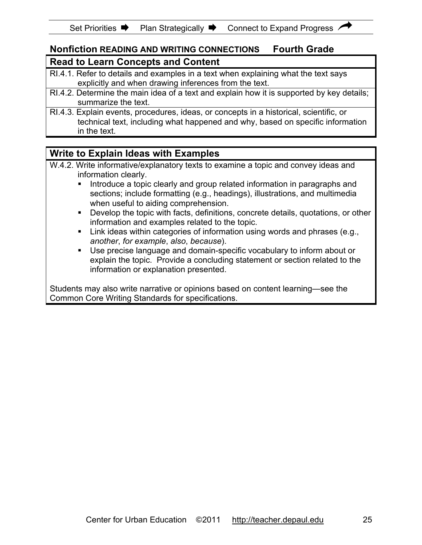### **Nonfiction READING AND WRITING CONNECTIONS Fourth Grade Read to Learn Concepts and Content**

- RI.4.1. Refer to details and examples in a text when explaining what the text says explicitly and when drawing inferences from the text.
- RI.4.2. Determine the main idea of a text and explain how it is supported by key details; summarize the text.
- RI.4.3. Explain events, procedures, ideas, or concepts in a historical, scientific, or technical text, including what happened and why, based on specific information in the text.

# **Write to Explain Ideas with Examples**

- W.4.2. Write informative/explanatory texts to examine a topic and convey ideas and information clearly.
	- Introduce a topic clearly and group related information in paragraphs and sections; include formatting (e.g., headings), illustrations, and multimedia when useful to aiding comprehension.
	- **Develop the topic with facts, definitions, concrete details, quotations, or other** information and examples related to the topic.
	- **EXECT** Link ideas within categories of information using words and phrases (e.g., *another*, *for example*, *also*, *because*).
	- Use precise language and domain-specific vocabulary to inform about or explain the topic. Provide a concluding statement or section related to the information or explanation presented.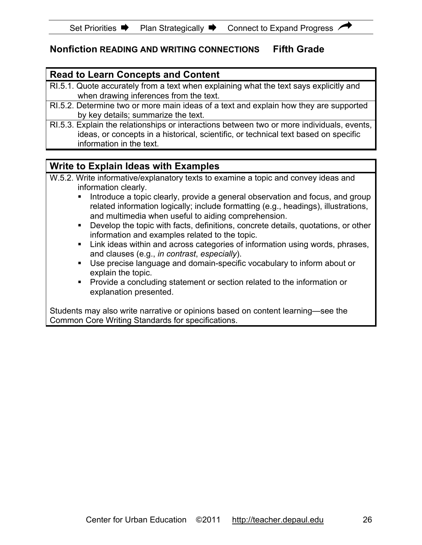# **Nonfiction READING AND WRITING CONNECTIONS Fifth Grade**

### **Read to Learn Concepts and Content**

- RI.5.1. Quote accurately from a text when explaining what the text says explicitly and when drawing inferences from the text.
- RI.5.2. Determine two or more main ideas of a text and explain how they are supported by key details; summarize the text.
- RI.5.3. Explain the relationships or interactions between two or more individuals, events, ideas, or concepts in a historical, scientific, or technical text based on specific information in the text.

# **Write to Explain Ideas with Examples**

- W.5.2. Write informative/explanatory texts to examine a topic and convey ideas and information clearly.
	- Introduce a topic clearly, provide a general observation and focus, and group related information logically; include formatting (e.g., headings), illustrations, and multimedia when useful to aiding comprehension.
	- Develop the topic with facts, definitions, concrete details, quotations, or other information and examples related to the topic.
	- Link ideas within and across categories of information using words, phrases, and clauses (e.g., *in contrast*, *especially*).
	- Use precise language and domain-specific vocabulary to inform about or explain the topic.
	- **Provide a concluding statement or section related to the information or** explanation presented.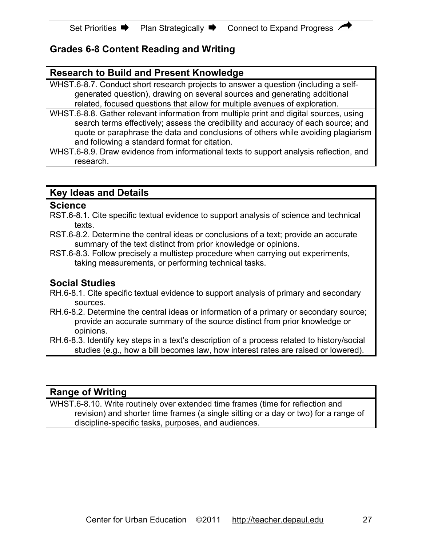# **Grades 6-8 Content Reading and Writing**

### **Research to Build and Present Knowledge**

WHST.6-8.7. Conduct short research projects to answer a question (including a selfgenerated question), drawing on several sources and generating additional related, focused questions that allow for multiple avenues of exploration.

WHST.6-8.8. Gather relevant information from multiple print and digital sources, using search terms effectively; assess the credibility and accuracy of each source; and quote or paraphrase the data and conclusions of others while avoiding plagiarism and following a standard format for citation.

WHST.6-8.9. Draw evidence from informational texts to support analysis reflection, and research.

### **Key Ideas and Details**

#### **Science**

- RST.6-8.1. Cite specific textual evidence to support analysis of science and technical texts.
- RST.6-8.2. Determine the central ideas or conclusions of a text; provide an accurate summary of the text distinct from prior knowledge or opinions.
- RST.6-8.3. Follow precisely a multistep procedure when carrying out experiments, taking measurements, or performing technical tasks.

### **Social Studies**

- RH.6-8.1. Cite specific textual evidence to support analysis of primary and secondary sources.
- RH.6-8.2. Determine the central ideas or information of a primary or secondary source; provide an accurate summary of the source distinct from prior knowledge or opinions.
- RH.6-8.3. Identify key steps in a text's description of a process related to history/social studies (e.g., how a bill becomes law, how interest rates are raised or lowered).

### **Range of Writing**

WHST.6-8.10. Write routinely over extended time frames (time for reflection and revision) and shorter time frames (a single sitting or a day or two) for a range of discipline-specific tasks, purposes, and audiences.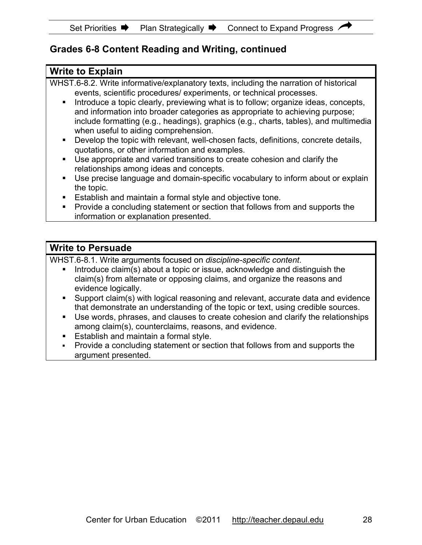# **Grades 6-8 Content Reading and Writing, continued**

## **Write to Explain** WHST.6-8.2. Write informative/explanatory texts, including the narration of historical events, scientific procedures/ experiments, or technical processes. Introduce a topic clearly, previewing what is to follow; organize ideas, concepts, and information into broader categories as appropriate to achieving purpose; include formatting (e.g., headings), graphics (e.g., charts, tables), and multimedia when useful to aiding comprehension. Develop the topic with relevant, well-chosen facts, definitions, concrete details, quotations, or other information and examples. Use appropriate and varied transitions to create cohesion and clarify the relationships among ideas and concepts. Use precise language and domain-specific vocabulary to inform about or explain the topic. **Establish and maintain a formal style and objective tone.**  Provide a concluding statement or section that follows from and supports the information or explanation presented. **Write to Persuade** WHST.6-8.1. Write arguments focused on *discipline-specific content*. Introduce claim(s) about a topic or issue, acknowledge and distinguish the

- claim(s) from alternate or opposing claims, and organize the reasons and evidence logically.
- Support claim(s) with logical reasoning and relevant, accurate data and evidence that demonstrate an understanding of the topic or text, using credible sources.
- Use words, phrases, and clauses to create cohesion and clarify the relationships among claim(s), counterclaims, reasons, and evidence.
- **Establish and maintain a formal style.**
- Provide a concluding statement or section that follows from and supports the argument presented.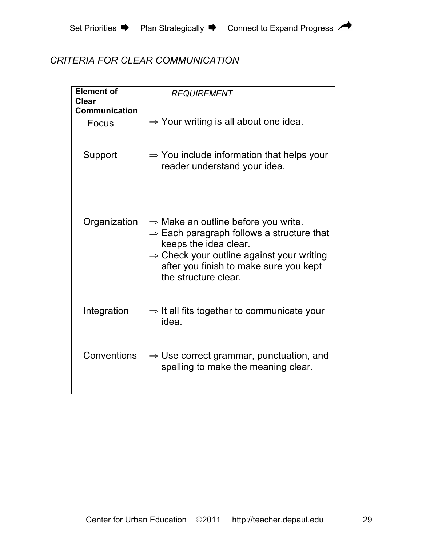# *CRITERIA FOR CLEAR COMMUNICATION*

| <b>Element of</b><br>Clear<br><b>Communication</b> | <b>REQUIREMENT</b>                                                                                                                                                                                                                                           |
|----------------------------------------------------|--------------------------------------------------------------------------------------------------------------------------------------------------------------------------------------------------------------------------------------------------------------|
| Focus                                              | $\Rightarrow$ Your writing is all about one idea.                                                                                                                                                                                                            |
| Support                                            | $\Rightarrow$ You include information that helps your<br>reader understand your idea.                                                                                                                                                                        |
| Organization                                       | $\Rightarrow$ Make an outline before you write.<br>$\Rightarrow$ Each paragraph follows a structure that<br>keeps the idea clear.<br>$\Rightarrow$ Check your outline against your writing<br>after you finish to make sure you kept<br>the structure clear. |
| Integration                                        | $\Rightarrow$ It all fits together to communicate your<br>idea.                                                                                                                                                                                              |
| Conventions                                        | $\Rightarrow$ Use correct grammar, punctuation, and<br>spelling to make the meaning clear.                                                                                                                                                                   |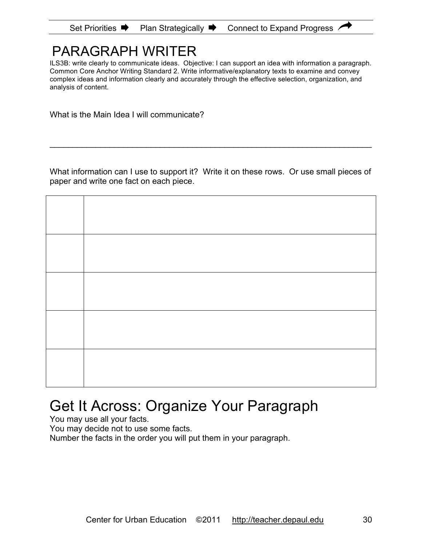| Set Priorities <sup>■</sup> | <b>Plan Strategically</b> | Connect to Expand Progress |
|-----------------------------|---------------------------|----------------------------|
|-----------------------------|---------------------------|----------------------------|

# PARAGRAPH WRITER

ILS3B: write clearly to communicate ideas. Objective: I can support an idea with information a paragraph. Common Core Anchor Writing Standard 2. Write informative/explanatory texts to examine and convey complex ideas and information clearly and accurately through the effective selection, organization, and analysis of content.

What is the Main Idea I will communicate?

What information can I use to support it? Write it on these rows. Or use small pieces of paper and write one fact on each piece.

\_\_\_\_\_\_\_\_\_\_\_\_\_\_\_\_\_\_\_\_\_\_\_\_\_\_\_\_\_\_\_\_\_\_\_\_\_\_\_\_\_\_\_\_\_\_\_\_\_\_\_\_\_\_\_\_\_\_\_\_\_\_\_\_\_\_\_\_\_\_

# Get It Across: Organize Your Paragraph

You may use all your facts.

You may decide not to use some facts.

Number the facts in the order you will put them in your paragraph.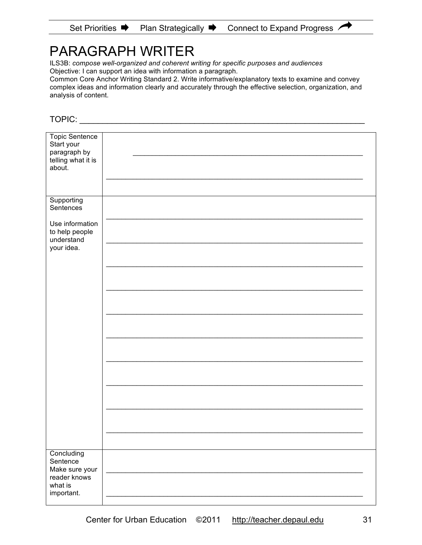# PARAGRAPH WRITER

ILS3B: *compose well-organized and coherent writing for specific purposes and audiences* Objective: I can support an idea with information a paragraph.

Common Core Anchor Writing Standard 2. Write informative/explanatory texts to examine and convey complex ideas and information clearly and accurately through the effective selection, organization, and analysis of content.

TOPIC: \_\_\_\_\_\_\_\_\_\_\_\_\_\_\_\_\_\_\_\_\_\_\_\_\_\_\_\_\_\_\_\_\_\_\_\_\_\_\_\_\_\_\_\_\_\_\_\_\_\_\_\_\_\_\_\_\_\_\_\_\_\_

| <b>Topic Sentence</b><br>Start your<br>paragraph by<br>telling what it is<br>about. |  |
|-------------------------------------------------------------------------------------|--|
|                                                                                     |  |
| Supporting<br>Sentences                                                             |  |
| Use information<br>to help people<br>understand                                     |  |
| your idea.                                                                          |  |
|                                                                                     |  |
|                                                                                     |  |
|                                                                                     |  |
|                                                                                     |  |
|                                                                                     |  |
|                                                                                     |  |
|                                                                                     |  |
|                                                                                     |  |
|                                                                                     |  |
| Concluding<br>Sentence<br>Make sure your<br>reader knows                            |  |
| what is<br>important.                                                               |  |
|                                                                                     |  |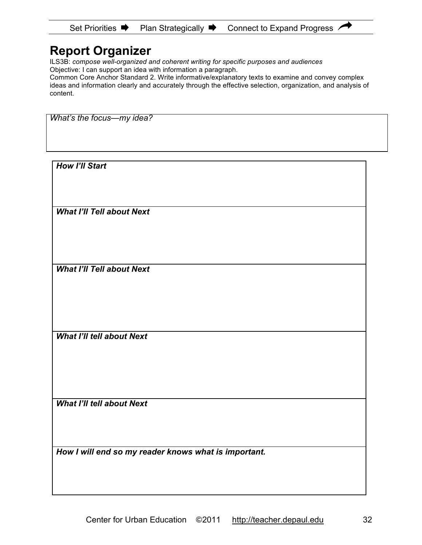# **Report Organizer**

ILS3B: *compose well-organized and coherent writing for specific purposes and audiences* Objective: I can support an idea with information a paragraph.

Common Core Anchor Standard 2. Write informative/explanatory texts to examine and convey complex ideas and information clearly and accurately through the effective selection, organization, and analysis of content.

*What's the focus—my idea?* 

*How I'll Start* 

*What I'll Tell about Next* 

*What I'll Tell about Next* 

*What I'll tell about Next* 

*What I'll tell about Next* 

*How I will end so my reader knows what is important.*